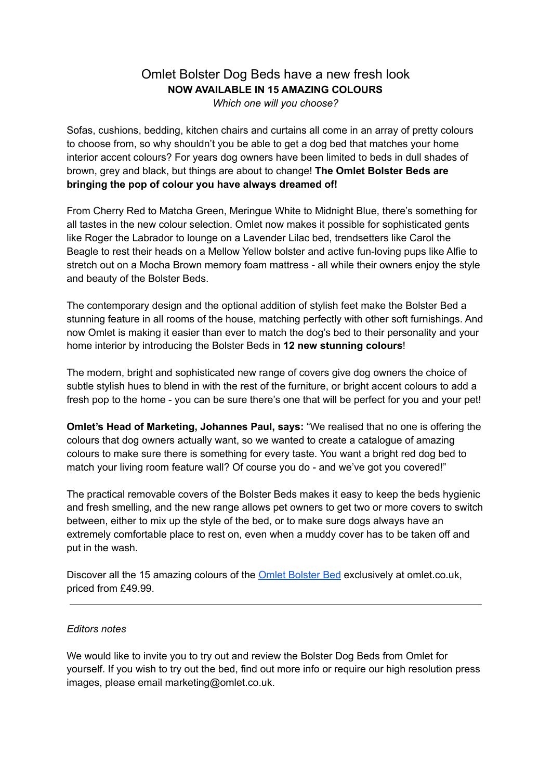## Omlet Bolster Dog Beds have a new fresh look **NOW AVAILABLE IN 15 AMAZING COLOURS** *Which one will you choose?*

Sofas, cushions, bedding, kitchen chairs and curtains all come in an array of pretty colours to choose from, so why shouldn't you be able to get a dog bed that matches your home interior accent colours? For years dog owners have been limited to beds in dull shades of brown, grey and black, but things are about to change! **The Omlet Bolster Beds are bringing the pop of colour you have always dreamed of!**

From Cherry Red to Matcha Green, Meringue White to Midnight Blue, there's something for all tastes in the new colour selection. Omlet now makes it possible for sophisticated gents like Roger the Labrador to lounge on a Lavender Lilac bed, trendsetters like Carol the Beagle to rest their heads on a Mellow Yellow bolster and active fun-loving pups like Alfie to stretch out on a Mocha Brown memory foam mattress - all while their owners enjoy the style and beauty of the Bolster Beds.

The contemporary design and the optional addition of stylish feet make the Bolster Bed a stunning feature in all rooms of the house, matching perfectly with other soft furnishings. And now Omlet is making it easier than ever to match the dog's bed to their personality and your home interior by introducing the Bolster Beds in **12 new stunning colours**!

The modern, bright and sophisticated new range of covers give dog owners the choice of subtle stylish hues to blend in with the rest of the furniture, or bright accent colours to add a fresh pop to the home - you can be sure there's one that will be perfect for you and your pet!

**Omlet's Head of Marketing, Johannes Paul, says:** "We realised that no one is offering the colours that dog owners actually want, so we wanted to create a catalogue of amazing colours to make sure there is something for every taste. You want a bright red dog bed to match your living room feature wall? Of course you do - and we've got you covered!"

The practical removable covers of the Bolster Beds makes it easy to keep the beds hygienic and fresh smelling, and the new range allows pet owners to get two or more covers to switch between, either to mix up the style of the bed, or to make sure dogs always have an extremely comfortable place to rest on, even when a muddy cover has to be taken off and put in the wash.

Discover all the 15 amazing colours of the **Omlet [Bolster](https://www.omlet.co.uk/shop/dog_products/memory-foam-bolster-dog-bed/) Bed** exclusively at omlet.co.uk, priced from £49.99.

## *Editors notes*

We would like to invite you to try out and review the Bolster Dog Beds from Omlet for yourself. If you wish to try out the bed, find out more info or require our high resolution press images, please email marketing@omlet.co.uk.